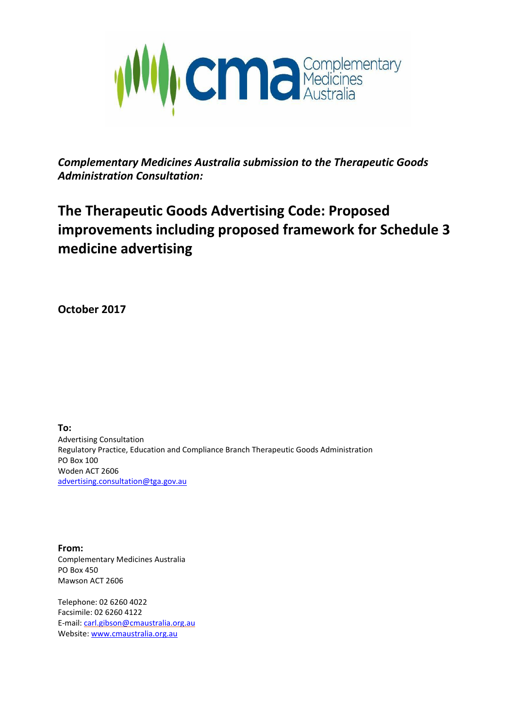

*Complementary Medicines Australia submission to the Therapeutic Goods Administration Consultation:*

# **The Therapeutic Goods Advertising Code: Proposed improvements including proposed framework for Schedule 3 medicine advertising**

**October 2017**

**To:** Advertising Consultation Regulatory Practice, Education and Compliance Branch Therapeutic Goods Administration PO Box 100 Woden ACT 2606 [advertising.consultation@tga.gov.au](mailto:advertising.consultation@tga.gov.au)

**From:** Complementary Medicines Australia PO Box 450 Mawson ACT 2606

Telephone: 02 6260 4022 Facsimile: 02 6260 4122 E-mail: [carl.gibson@cmaustralia.org.au](mailto:carl.gibson@cmaustralia.org.au) Website[: www.cmaustralia.org.au](http://www.cmaustralia.org.au/)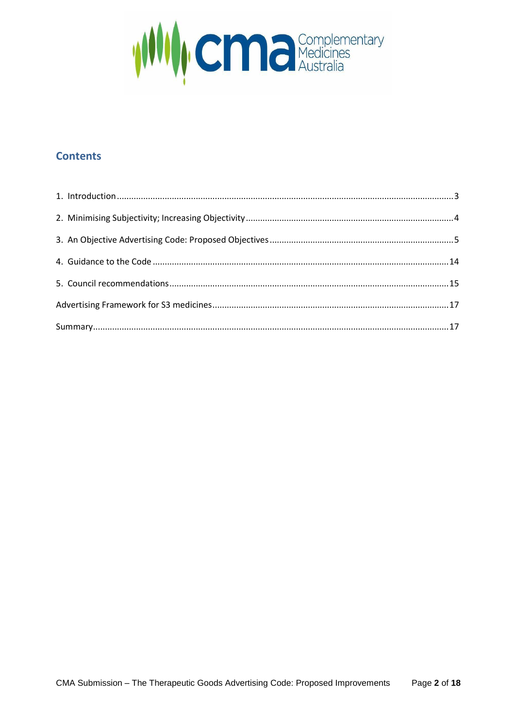

# **Contents**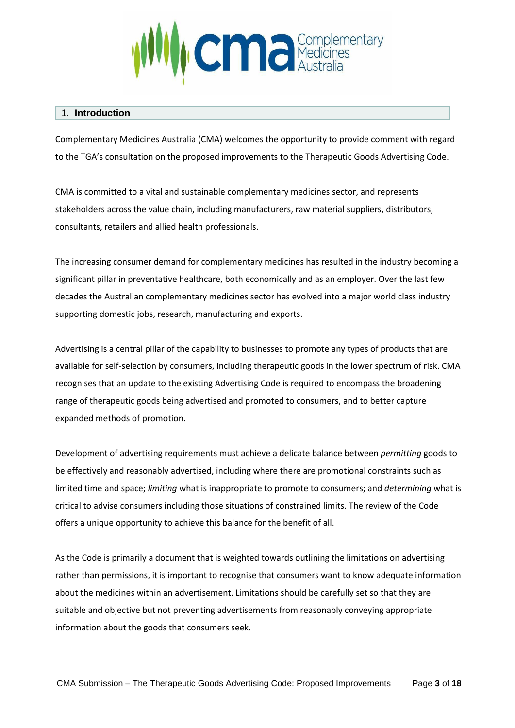

#### 1. **Introduction**

Complementary Medicines Australia (CMA) welcomes the opportunity to provide comment with regard to the TGA's consultation on the proposed improvements to the Therapeutic Goods Advertising Code.

CMA is committed to a vital and sustainable complementary medicines sector, and represents stakeholders across the value chain, including manufacturers, raw material suppliers, distributors, consultants, retailers and allied health professionals.

The increasing consumer demand for complementary medicines has resulted in the industry becoming a significant pillar in preventative healthcare, both economically and as an employer. Over the last few decades the Australian complementary medicines sector has evolved into a major world class industry supporting domestic jobs, research, manufacturing and exports.

Advertising is a central pillar of the capability to businesses to promote any types of products that are available for self-selection by consumers, including therapeutic goods in the lower spectrum of risk. CMA recognises that an update to the existing Advertising Code is required to encompass the broadening range of therapeutic goods being advertised and promoted to consumers, and to better capture expanded methods of promotion.

Development of advertising requirements must achieve a delicate balance between *permitting* goods to be effectively and reasonably advertised, including where there are promotional constraints such as limited time and space; *limiting* what is inappropriate to promote to consumers; and *determining* what is critical to advise consumers including those situations of constrained limits. The review of the Code offers a unique opportunity to achieve this balance for the benefit of all.

As the Code is primarily a document that is weighted towards outlining the limitations on advertising rather than permissions, it is important to recognise that consumers want to know adequate information about the medicines within an advertisement. Limitations should be carefully set so that they are suitable and objective but not preventing advertisements from reasonably conveying appropriate information about the goods that consumers seek.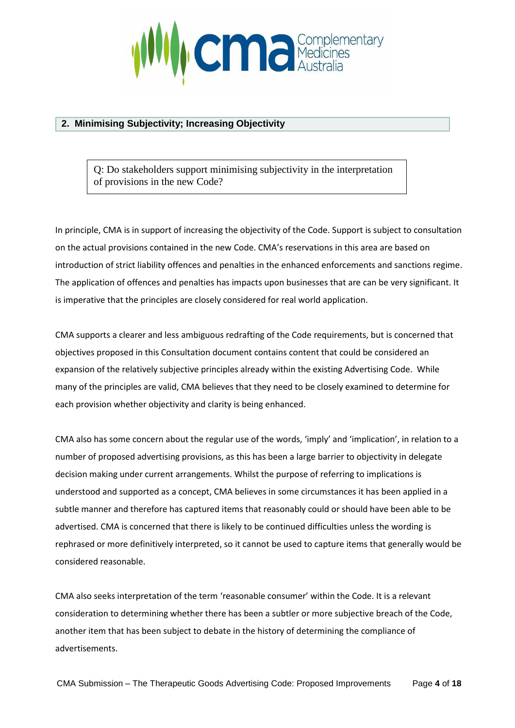

### **2. Minimising Subjectivity; Increasing Objectivity**

Q: Do stakeholders support minimising subjectivity in the interpretation of provisions in the new Code?

In principle, CMA is in support of increasing the objectivity of the Code. Support is subject to consultation on the actual provisions contained in the new Code. CMA's reservations in this area are based on introduction of strict liability offences and penalties in the enhanced enforcements and sanctions regime. The application of offences and penalties has impacts upon businesses that are can be very significant. It is imperative that the principles are closely considered for real world application.

CMA supports a clearer and less ambiguous redrafting of the Code requirements, but is concerned that objectives proposed in this Consultation document contains content that could be considered an expansion of the relatively subjective principles already within the existing Advertising Code. While many of the principles are valid, CMA believes that they need to be closely examined to determine for each provision whether objectivity and clarity is being enhanced.

CMA also has some concern about the regular use of the words, 'imply' and 'implication', in relation to a number of proposed advertising provisions, as this has been a large barrier to objectivity in delegate decision making under current arrangements. Whilst the purpose of referring to implications is understood and supported as a concept, CMA believes in some circumstances it has been applied in a subtle manner and therefore has captured items that reasonably could or should have been able to be advertised. CMA is concerned that there is likely to be continued difficulties unless the wording is rephrased or more definitively interpreted, so it cannot be used to capture items that generally would be considered reasonable.

CMA also seeks interpretation of the term 'reasonable consumer' within the Code. It is a relevant consideration to determining whether there has been a subtler or more subjective breach of the Code, another item that has been subject to debate in the history of determining the compliance of advertisements.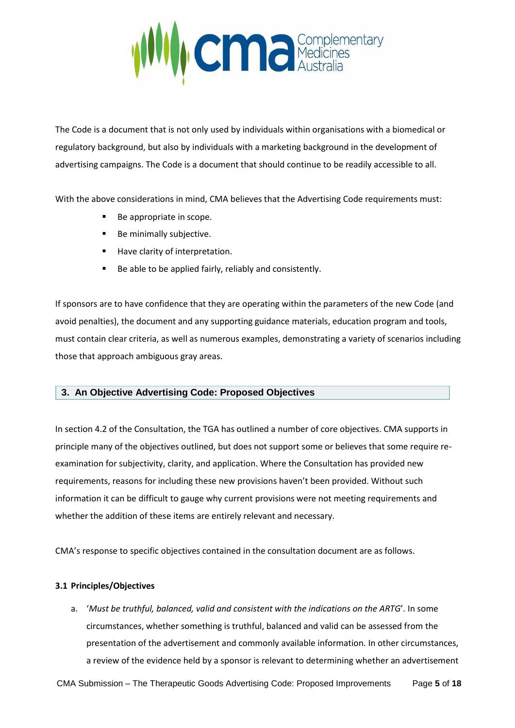

The Code is a document that is not only used by individuals within organisations with a biomedical or regulatory background, but also by individuals with a marketing background in the development of advertising campaigns. The Code is a document that should continue to be readily accessible to all.

With the above considerations in mind, CMA believes that the Advertising Code requirements must:

- Be appropriate in scope.
- Be minimally subjective.
- Have clarity of interpretation.
- Be able to be applied fairly, reliably and consistently.

If sponsors are to have confidence that they are operating within the parameters of the new Code (and avoid penalties), the document and any supporting guidance materials, education program and tools, must contain clear criteria, as well as numerous examples, demonstrating a variety of scenarios including those that approach ambiguous gray areas.

# **3. An Objective Advertising Code: Proposed Objectives**

In section 4.2 of the Consultation, the TGA has outlined a number of core objectives. CMA supports in principle many of the objectives outlined, but does not support some or believes that some require reexamination for subjectivity, clarity, and application. Where the Consultation has provided new requirements, reasons for including these new provisions haven't been provided. Without such information it can be difficult to gauge why current provisions were not meeting requirements and whether the addition of these items are entirely relevant and necessary.

CMA's response to specific objectives contained in the consultation document are as follows.

#### **3.1 Principles/Objectives**

a. '*Must be truthful, balanced, valid and consistent with the indications on the ARTG*'. In some circumstances, whether something is truthful, balanced and valid can be assessed from the presentation of the advertisement and commonly available information. In other circumstances, a review of the evidence held by a sponsor is relevant to determining whether an advertisement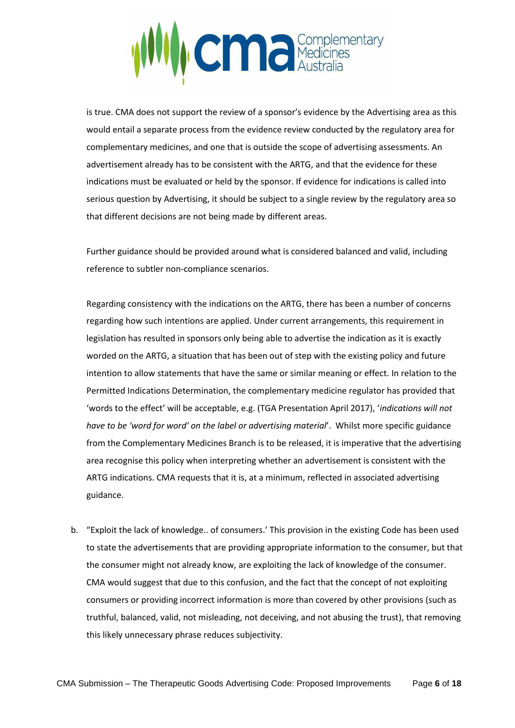

is true. CMA does not support the review of a sponsor's evidence by the Advertising area as this would entail a separate process from the evidence review conducted by the regulatory area for complementary medicines, and one that is outside the scope of advertising assessments. An advertisement already has to be consistent with the ARTG, and that the evidence for these indications must be evaluated or held by the sponsor. If evidence for indications is called into serious question by Advertising, it should be subject to a single review by the regulatory area so that different decisions are not being made by different areas.

Further guidance should be provided around what is considered balanced and valid, including reference to subtler non-compliance scenarios.

Regarding consistency with the indications on the ARTG, there has been a number of concerns regarding how such intentions are applied. Under current arrangements, this requirement in legislation has resulted in sponsors only being able to advertise the indication as it is exactly worded on the ARTG, a situation that has been out of step with the existing policy and future intention to allow statements that have the same or similar meaning or effect. In relation to the Permitted Indications Determination, the complementary medicine regulator has provided that 'words to the effect' will be acceptable, e.g. (TGA Presentation April 2017), '*indications will not have to be 'word for word' on the label or advertising material*'. Whilst more specific guidance from the Complementary Medicines Branch is to be released, it is imperative that the advertising area recognise this policy when interpreting whether an advertisement is consistent with the ARTG indications. CMA requests that it is, at a minimum, reflected in associated advertising guidance.

b. "Exploit the lack of knowledge.. of consumers.' This provision in the existing Code has been used to state the advertisements that are providing appropriate information to the consumer, but that the consumer might not already know, are exploiting the lack of knowledge of the consumer. CMA would suggest that due to this confusion, and the fact that the concept of not exploiting consumers or providing incorrect information is more than covered by other provisions (such as truthful, balanced, valid, not misleading, not deceiving, and not abusing the trust), that removing this likely unnecessary phrase reduces subjectivity.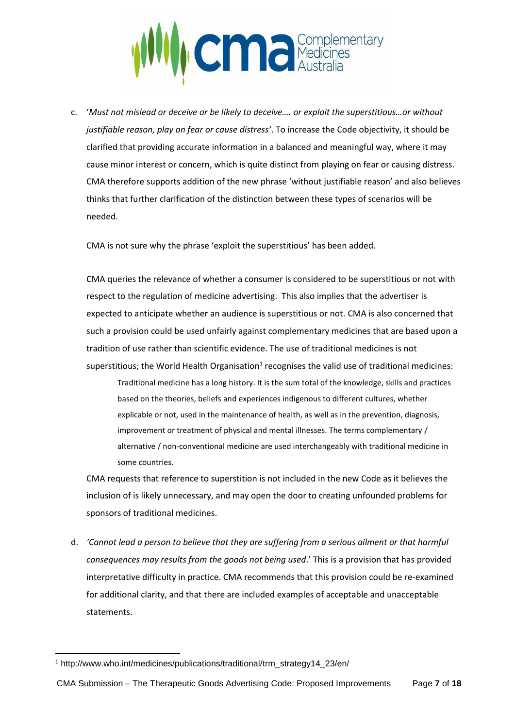

c. '*Must not mislead or deceive or be likely to deceive…. or exploit the superstitious…or without justifiable reason, play on fear or cause distress'*. To increase the Code objectivity, it should be clarified that providing accurate information in a balanced and meaningful way, where it may cause minor interest or concern, which is quite distinct from playing on fear or causing distress. CMA therefore supports addition of the new phrase 'without justifiable reason' and also believes thinks that further clarification of the distinction between these types of scenarios will be needed.

CMA is not sure why the phrase 'exploit the superstitious' has been added.

CMA queries the relevance of whether a consumer is considered to be superstitious or not with respect to the regulation of medicine advertising. This also implies that the advertiser is expected to anticipate whether an audience is superstitious or not. CMA is also concerned that such a provision could be used unfairly against complementary medicines that are based upon a tradition of use rather than scientific evidence. The use of traditional medicines is not superstitious; the World Health Organisation<sup>1</sup> recognises the valid use of traditional medicines: Traditional medicine has a long history. It is the sum total of the knowledge, skills and practices based on the theories, beliefs and experiences indigenous to different cultures, whether

explicable or not, used in the maintenance of health, as well as in the prevention, diagnosis, improvement or treatment of physical and mental illnesses. The terms complementary / alternative / non-conventional medicine are used interchangeably with traditional medicine in some countries.

CMA requests that reference to superstition is not included in the new Code as it believes the inclusion of is likely unnecessary, and may open the door to creating unfounded problems for sponsors of traditional medicines.

d. *'Cannot lead a person to believe that they are suffering from a serious ailment or that harmful consequences may results from the goods not being used*.' This is a provision that has provided interpretative difficulty in practice. CMA recommends that this provision could be re-examined for additional clarity, and that there are included examples of acceptable and unacceptable statements.

 $\overline{a}$ 

<sup>1</sup> http://www.who.int/medicines/publications/traditional/trm\_strategy14\_23/en/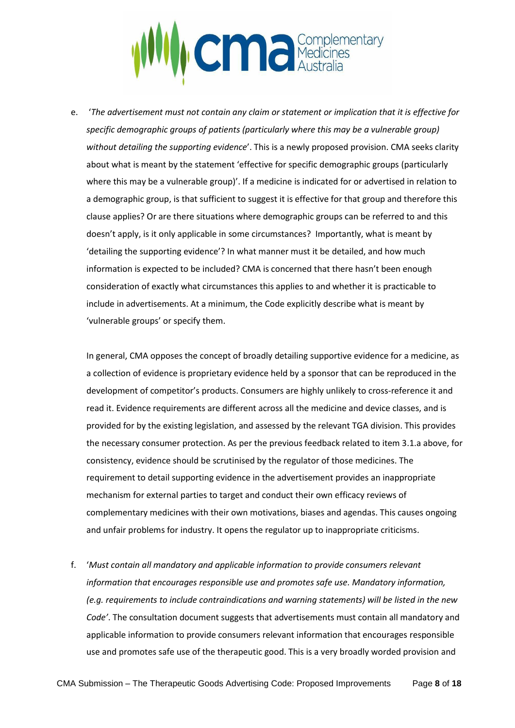

e. '*The advertisement must not contain any claim or statement or implication that it is effective for specific demographic groups of patients (particularly where this may be a vulnerable group) without detailing the supporting evidence*'. This is a newly proposed provision. CMA seeks clarity about what is meant by the statement 'effective for specific demographic groups (particularly where this may be a vulnerable group)'. If a medicine is indicated for or advertised in relation to a demographic group, is that sufficient to suggest it is effective for that group and therefore this clause applies? Or are there situations where demographic groups can be referred to and this doesn't apply, is it only applicable in some circumstances? Importantly, what is meant by 'detailing the supporting evidence'? In what manner must it be detailed, and how much information is expected to be included? CMA is concerned that there hasn't been enough consideration of exactly what circumstances this applies to and whether it is practicable to include in advertisements. At a minimum, the Code explicitly describe what is meant by 'vulnerable groups' or specify them.

In general, CMA opposes the concept of broadly detailing supportive evidence for a medicine, as a collection of evidence is proprietary evidence held by a sponsor that can be reproduced in the development of competitor's products. Consumers are highly unlikely to cross-reference it and read it. Evidence requirements are different across all the medicine and device classes, and is provided for by the existing legislation, and assessed by the relevant TGA division. This provides the necessary consumer protection. As per the previous feedback related to item 3.1.a above, for consistency, evidence should be scrutinised by the regulator of those medicines. The requirement to detail supporting evidence in the advertisement provides an inappropriate mechanism for external parties to target and conduct their own efficacy reviews of complementary medicines with their own motivations, biases and agendas. This causes ongoing and unfair problems for industry. It opens the regulator up to inappropriate criticisms.

f. '*Must contain all mandatory and applicable information to provide consumers relevant information that encourages responsible use and promotes safe use. Mandatory information, (e.g. requirements to include contraindications and warning statements) will be listed in the new Code'*. The consultation document suggests that advertisements must contain all mandatory and applicable information to provide consumers relevant information that encourages responsible use and promotes safe use of the therapeutic good. This is a very broadly worded provision and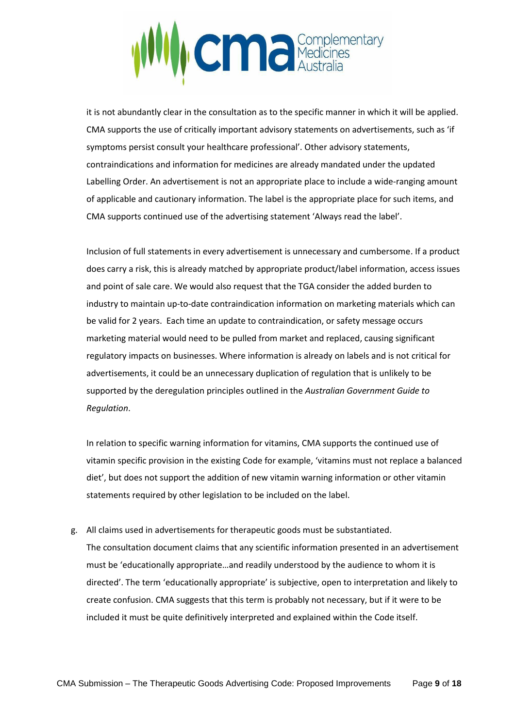

it is not abundantly clear in the consultation as to the specific manner in which it will be applied. CMA supports the use of critically important advisory statements on advertisements, such as 'if symptoms persist consult your healthcare professional'. Other advisory statements, contraindications and information for medicines are already mandated under the updated Labelling Order. An advertisement is not an appropriate place to include a wide-ranging amount of applicable and cautionary information. The label is the appropriate place for such items, and CMA supports continued use of the advertising statement 'Always read the label'.

Inclusion of full statements in every advertisement is unnecessary and cumbersome. If a product does carry a risk, this is already matched by appropriate product/label information, access issues and point of sale care. We would also request that the TGA consider the added burden to industry to maintain up-to-date contraindication information on marketing materials which can be valid for 2 years. Each time an update to contraindication, or safety message occurs marketing material would need to be pulled from market and replaced, causing significant regulatory impacts on businesses. Where information is already on labels and is not critical for advertisements, it could be an unnecessary duplication of regulation that is unlikely to be supported by the deregulation principles outlined in the *Australian Government Guide to Regulation*.

In relation to specific warning information for vitamins, CMA supports the continued use of vitamin specific provision in the existing Code for example, 'vitamins must not replace a balanced diet', but does not support the addition of new vitamin warning information or other vitamin statements required by other legislation to be included on the label.

g. All claims used in advertisements for therapeutic goods must be substantiated. The consultation document claims that any scientific information presented in an advertisement must be 'educationally appropriate…and readily understood by the audience to whom it is directed'. The term 'educationally appropriate' is subjective, open to interpretation and likely to create confusion. CMA suggests that this term is probably not necessary, but if it were to be included it must be quite definitively interpreted and explained within the Code itself.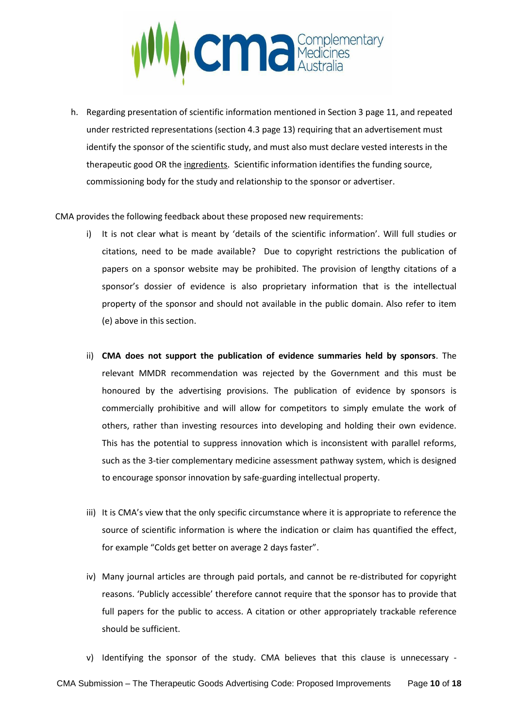

h. Regarding presentation of scientific information mentioned in Section 3 page 11, and repeated under restricted representations (section 4.3 page 13) requiring that an advertisement must identify the sponsor of the scientific study, and must also must declare vested interests in the therapeutic good OR the ingredients. Scientific information identifies the funding source, commissioning body for the study and relationship to the sponsor or advertiser.

CMA provides the following feedback about these proposed new requirements:

- i) It is not clear what is meant by 'details of the scientific information'. Will full studies or citations, need to be made available? Due to copyright restrictions the publication of papers on a sponsor website may be prohibited. The provision of lengthy citations of a sponsor's dossier of evidence is also proprietary information that is the intellectual property of the sponsor and should not available in the public domain. Also refer to item (e) above in this section.
- ii) **CMA does not support the publication of evidence summaries held by sponsors**. The relevant MMDR recommendation was rejected by the Government and this must be honoured by the advertising provisions. The publication of evidence by sponsors is commercially prohibitive and will allow for competitors to simply emulate the work of others, rather than investing resources into developing and holding their own evidence. This has the potential to suppress innovation which is inconsistent with parallel reforms, such as the 3-tier complementary medicine assessment pathway system, which is designed to encourage sponsor innovation by safe-guarding intellectual property.
- iii) It is CMA's view that the only specific circumstance where it is appropriate to reference the source of scientific information is where the indication or claim has quantified the effect, for example "Colds get better on average 2 days faster".
- iv) Many journal articles are through paid portals, and cannot be re-distributed for copyright reasons. 'Publicly accessible' therefore cannot require that the sponsor has to provide that full papers for the public to access. A citation or other appropriately trackable reference should be sufficient.
- v) Identifying the sponsor of the study. CMA believes that this clause is unnecessary -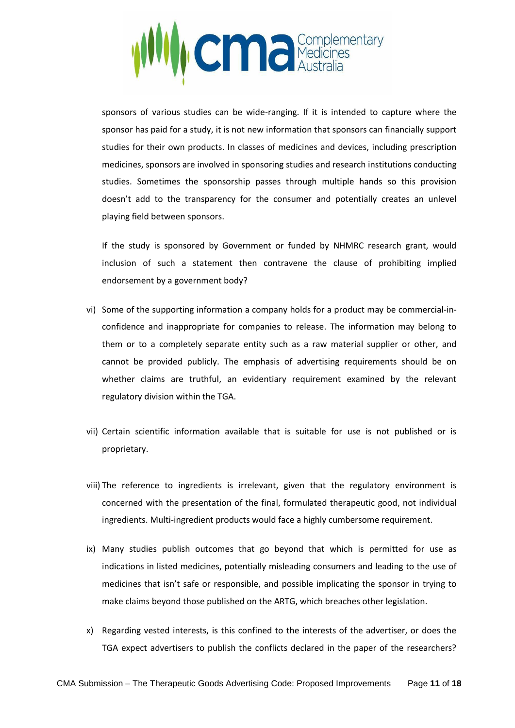

sponsors of various studies can be wide-ranging. If it is intended to capture where the sponsor has paid for a study, it is not new information that sponsors can financially support studies for their own products. In classes of medicines and devices, including prescription medicines, sponsors are involved in sponsoring studies and research institutions conducting studies. Sometimes the sponsorship passes through multiple hands so this provision doesn't add to the transparency for the consumer and potentially creates an unlevel playing field between sponsors.

If the study is sponsored by Government or funded by NHMRC research grant, would inclusion of such a statement then contravene the clause of prohibiting implied endorsement by a government body?

- vi) Some of the supporting information a company holds for a product may be commercial-inconfidence and inappropriate for companies to release. The information may belong to them or to a completely separate entity such as a raw material supplier or other, and cannot be provided publicly. The emphasis of advertising requirements should be on whether claims are truthful, an evidentiary requirement examined by the relevant regulatory division within the TGA.
- vii) Certain scientific information available that is suitable for use is not published or is proprietary.
- viii) The reference to ingredients is irrelevant, given that the regulatory environment is concerned with the presentation of the final, formulated therapeutic good, not individual ingredients. Multi-ingredient products would face a highly cumbersome requirement.
- ix) Many studies publish outcomes that go beyond that which is permitted for use as indications in listed medicines, potentially misleading consumers and leading to the use of medicines that isn't safe or responsible, and possible implicating the sponsor in trying to make claims beyond those published on the ARTG, which breaches other legislation.
- x) Regarding vested interests, is this confined to the interests of the advertiser, or does the TGA expect advertisers to publish the conflicts declared in the paper of the researchers?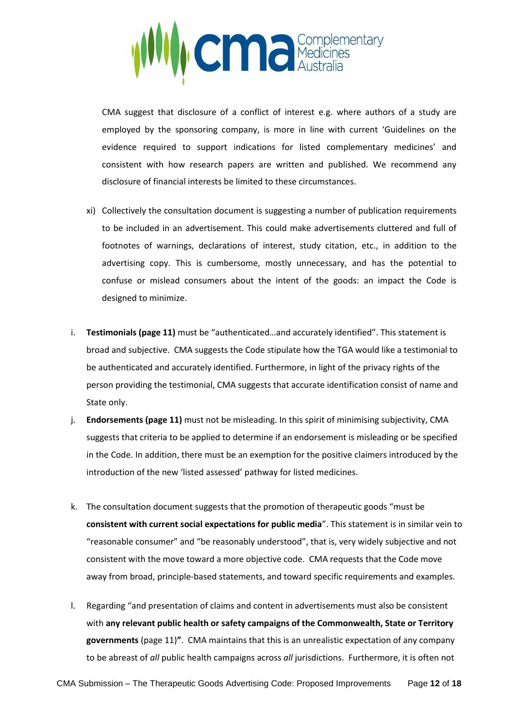

CMA suggest that disclosure of a conflict of interest e.g. where authors of a study are employed by the sponsoring company, is more in line with current 'Guidelines on the evidence required to support indications for listed complementary medicines' and consistent with how research papers are written and published. We recommend any disclosure of financial interests be limited to these circumstances.

- xi) Collectively the consultation document is suggesting a number of publication requirements to be included in an advertisement. This could make advertisements cluttered and full of footnotes of warnings, declarations of interest, study citation, etc., in addition to the advertising copy. This is cumbersome, mostly unnecessary, and has the potential to confuse or mislead consumers about the intent of the goods: an impact the Code is designed to minimize.
- i. **Testimonials (page 11)** must be "authenticated…and accurately identified". This statement is broad and subjective. CMA suggests the Code stipulate how the TGA would like a testimonial to be authenticated and accurately identified. Furthermore, in light of the privacy rights of the person providing the testimonial, CMA suggests that accurate identification consist of name and State only.
- j. **Endorsements (page 11)** must not be misleading. In this spirit of minimising subjectivity, CMA suggests that criteria to be applied to determine if an endorsement is misleading or be specified in the Code. In addition, there must be an exemption for the positive claimers introduced by the introduction of the new 'listed assessed' pathway for listed medicines.
- k. The consultation document suggests that the promotion of therapeutic goods "must be **consistent with current social expectations for public media**". This statement is in similar vein to "reasonable consumer" and "be reasonably understood", that is, very widely subjective and not consistent with the move toward a more objective code. CMA requests that the Code move away from broad, principle-based statements, and toward specific requirements and examples.
- l. Regarding "and presentation of claims and content in advertisements must also be consistent with **any relevant public health or safety campaigns of the Commonwealth, State or Territory governments** (page 11)**"**. CMA maintains that this is an unrealistic expectation of any company to be abreast of *all* public health campaigns across *all* jurisdictions. Furthermore, it is often not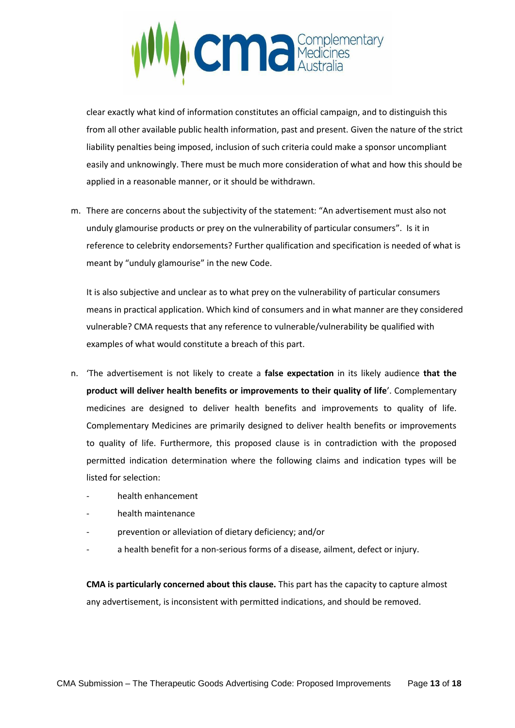

clear exactly what kind of information constitutes an official campaign, and to distinguish this from all other available public health information, past and present. Given the nature of the strict liability penalties being imposed, inclusion of such criteria could make a sponsor uncompliant easily and unknowingly. There must be much more consideration of what and how this should be applied in a reasonable manner, or it should be withdrawn.

m. There are concerns about the subjectivity of the statement: "An advertisement must also not unduly glamourise products or prey on the vulnerability of particular consumers". Is it in reference to celebrity endorsements? Further qualification and specification is needed of what is meant by "unduly glamourise" in the new Code.

It is also subjective and unclear as to what prey on the vulnerability of particular consumers means in practical application. Which kind of consumers and in what manner are they considered vulnerable? CMA requests that any reference to vulnerable/vulnerability be qualified with examples of what would constitute a breach of this part.

- n. 'The advertisement is not likely to create a **false expectation** in its likely audience **that the product will deliver health benefits or improvements to their quality of life**'. Complementary medicines are designed to deliver health benefits and improvements to quality of life. Complementary Medicines are primarily designed to deliver health benefits or improvements to quality of life. Furthermore, this proposed clause is in contradiction with the proposed permitted indication determination where the following claims and indication types will be listed for selection:
	- health enhancement
	- health maintenance
	- prevention or alleviation of dietary deficiency; and/or
	- a health benefit for a non-serious forms of a disease, ailment, defect or injury.

**CMA is particularly concerned about this clause.** This part has the capacity to capture almost any advertisement, is inconsistent with permitted indications, and should be removed.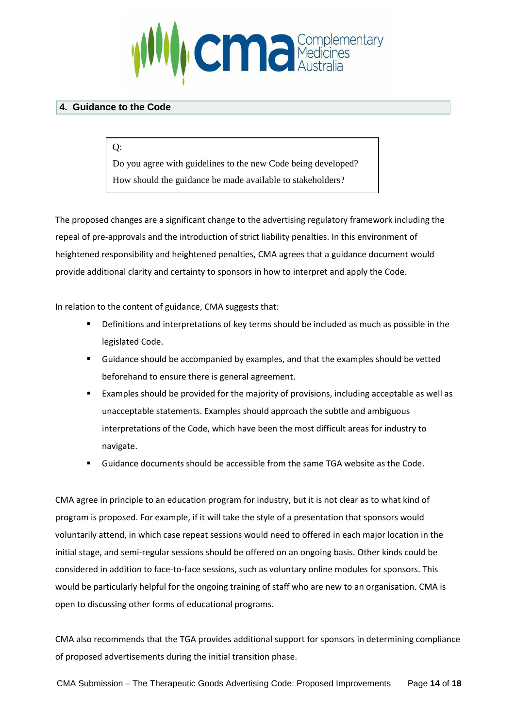

# **4. Guidance to the Code**

Q:

Do you agree with guidelines to the new Code being developed? How should the guidance be made available to stakeholders?

The proposed changes are a significant change to the advertising regulatory framework including the repeal of pre-approvals and the introduction of strict liability penalties. In this environment of heightened responsibility and heightened penalties, CMA agrees that a guidance document would provide additional clarity and certainty to sponsors in how to interpret and apply the Code.

In relation to the content of guidance, CMA suggests that:

- Definitions and interpretations of key terms should be included as much as possible in the legislated Code.
- Guidance should be accompanied by examples, and that the examples should be vetted beforehand to ensure there is general agreement.
- Examples should be provided for the majority of provisions, including acceptable as well as unacceptable statements. Examples should approach the subtle and ambiguous interpretations of the Code, which have been the most difficult areas for industry to navigate.
- Guidance documents should be accessible from the same TGA website as the Code.

CMA agree in principle to an education program for industry, but it is not clear as to what kind of program is proposed. For example, if it will take the style of a presentation that sponsors would voluntarily attend, in which case repeat sessions would need to offered in each major location in the initial stage, and semi-regular sessions should be offered on an ongoing basis. Other kinds could be considered in addition to face-to-face sessions, such as voluntary online modules for sponsors. This would be particularly helpful for the ongoing training of staff who are new to an organisation. CMA is open to discussing other forms of educational programs.

CMA also recommends that the TGA provides additional support for sponsors in determining compliance of proposed advertisements during the initial transition phase.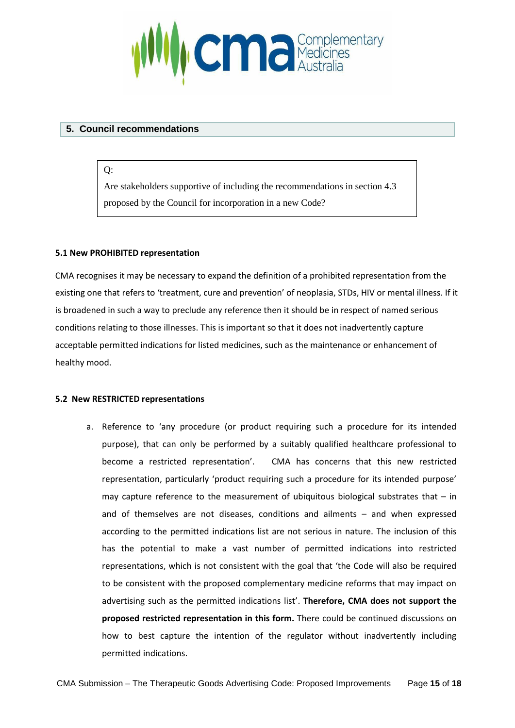

#### **5. Council recommendations**

 $O:$ 

Are stakeholders supportive of including the recommendations in section 4.3 proposed by the Council for incorporation in a new Code?

#### **5.1 New PROHIBITED representation**

CMA recognises it may be necessary to expand the definition of a prohibited representation from the existing one that refers to 'treatment, cure and prevention' of neoplasia, STDs, HIV or mental illness. If it is broadened in such a way to preclude any reference then it should be in respect of named serious conditions relating to those illnesses. This is important so that it does not inadvertently capture acceptable permitted indications for listed medicines, such as the maintenance or enhancement of healthy mood.

#### **5.2 New RESTRICTED representations**

a. Reference to 'any procedure (or product requiring such a procedure for its intended purpose), that can only be performed by a suitably qualified healthcare professional to become a restricted representation'. CMA has concerns that this new restricted representation, particularly 'product requiring such a procedure for its intended purpose' may capture reference to the measurement of ubiquitous biological substrates that  $-$  in and of themselves are not diseases, conditions and ailments – and when expressed according to the permitted indications list are not serious in nature. The inclusion of this has the potential to make a vast number of permitted indications into restricted representations, which is not consistent with the goal that 'the Code will also be required to be consistent with the proposed complementary medicine reforms that may impact on advertising such as the permitted indications list'. **Therefore, CMA does not support the proposed restricted representation in this form.** There could be continued discussions on how to best capture the intention of the regulator without inadvertently including permitted indications.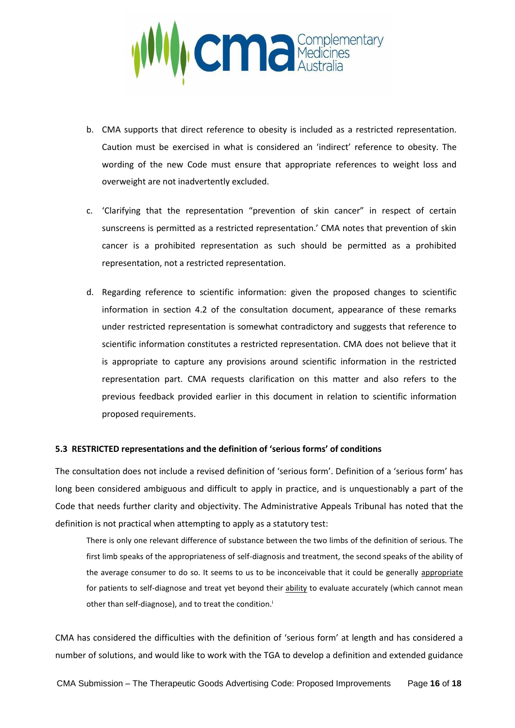

- b. CMA supports that direct reference to obesity is included as a restricted representation. Caution must be exercised in what is considered an 'indirect' reference to obesity. The wording of the new Code must ensure that appropriate references to weight loss and overweight are not inadvertently excluded.
- c. 'Clarifying that the representation "prevention of skin cancer" in respect of certain sunscreens is permitted as a restricted representation.' CMA notes that prevention of skin cancer is a prohibited representation as such should be permitted as a prohibited representation, not a restricted representation.
- d. Regarding reference to scientific information: given the proposed changes to scientific information in section 4.2 of the consultation document, appearance of these remarks under restricted representation is somewhat contradictory and suggests that reference to scientific information constitutes a restricted representation. CMA does not believe that it is appropriate to capture any provisions around scientific information in the restricted representation part. CMA requests clarification on this matter and also refers to the previous feedback provided earlier in this document in relation to scientific information proposed requirements.

#### **5.3 RESTRICTED representations and the definition of 'serious forms' of conditions**

The consultation does not include a revised definition of 'serious form'. Definition of a 'serious form' has long been considered ambiguous and difficult to apply in practice, and is unquestionably a part of the Code that needs further clarity and objectivity. The Administrative Appeals Tribunal has noted that the definition is not practical when attempting to apply as a statutory test:

There is only one relevant difference of substance between the two limbs of the definition of serious. The first limb speaks of the appropriateness of self-diagnosis and treatment, the second speaks of the ability of the average consumer to do so. It seems to us to be inconceivable that it could be generally appropriate for patients to self-diagnose and treat yet beyond their ability to evaluate accurately (which cannot mean other than self-diagnose), and to treat the condition.<sup>i</sup>

CMA has considered the difficulties with the definition of 'serious form' at length and has considered a number of solutions, and would like to work with the TGA to develop a definition and extended guidance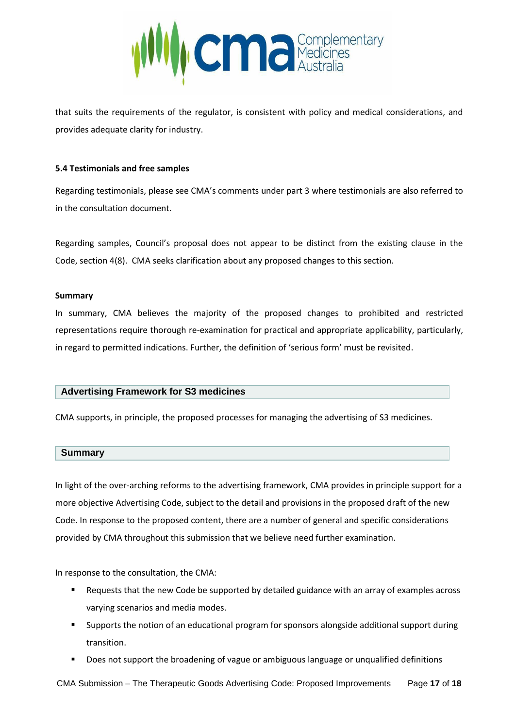

that suits the requirements of the regulator, is consistent with policy and medical considerations, and provides adequate clarity for industry.

#### **5.4 Testimonials and free samples**

Regarding testimonials, please see CMA's comments under part 3 where testimonials are also referred to in the consultation document.

Regarding samples, Council's proposal does not appear to be distinct from the existing clause in the Code, section 4(8). CMA seeks clarification about any proposed changes to this section.

#### **Summary**

In summary, CMA believes the majority of the proposed changes to prohibited and restricted representations require thorough re-examination for practical and appropriate applicability, particularly, in regard to permitted indications. Further, the definition of 'serious form' must be revisited.

# **Advertising Framework for S3 medicines**

CMA supports, in principle, the proposed processes for managing the advertising of S3 medicines.

#### **Summary**

In light of the over-arching reforms to the advertising framework, CMA provides in principle support for a more objective Advertising Code, subject to the detail and provisions in the proposed draft of the new Code. In response to the proposed content, there are a number of general and specific considerations provided by CMA throughout this submission that we believe need further examination.

In response to the consultation, the CMA:

- Requests that the new Code be supported by detailed guidance with an array of examples across varying scenarios and media modes.
- Supports the notion of an educational program for sponsors alongside additional support during transition.
- Does not support the broadening of vague or ambiguous language or unqualified definitions

CMA Submission – The Therapeutic Goods Advertising Code: Proposed Improvements Page **17** of **18**